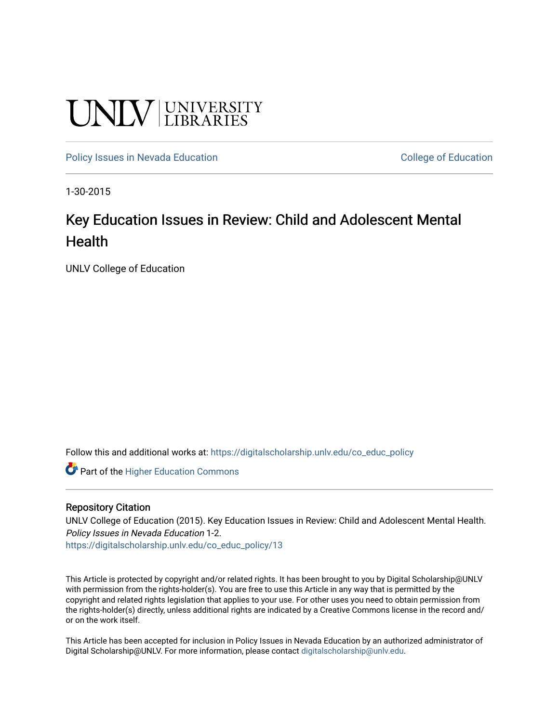# **UNIVERSITY**

[Policy Issues in Nevada Education](https://digitalscholarship.unlv.edu/co_educ_policy) **College of Education** College of Education

1-30-2015

### Key Education Issues in Review: Child and Adolescent Mental **Health**

UNLV College of Education

Follow this and additional works at: [https://digitalscholarship.unlv.edu/co\\_educ\\_policy](https://digitalscholarship.unlv.edu/co_educ_policy?utm_source=digitalscholarship.unlv.edu%2Fco_educ_policy%2F13&utm_medium=PDF&utm_campaign=PDFCoverPages)

Part of the [Higher Education Commons](http://network.bepress.com/hgg/discipline/1245?utm_source=digitalscholarship.unlv.edu%2Fco_educ_policy%2F13&utm_medium=PDF&utm_campaign=PDFCoverPages) 

#### Repository Citation

UNLV College of Education (2015). Key Education Issues in Review: Child and Adolescent Mental Health. Policy Issues in Nevada Education 1-2.

[https://digitalscholarship.unlv.edu/co\\_educ\\_policy/13](https://digitalscholarship.unlv.edu/co_educ_policy/13) 

This Article is protected by copyright and/or related rights. It has been brought to you by Digital Scholarship@UNLV with permission from the rights-holder(s). You are free to use this Article in any way that is permitted by the copyright and related rights legislation that applies to your use. For other uses you need to obtain permission from the rights-holder(s) directly, unless additional rights are indicated by a Creative Commons license in the record and/ or on the work itself.

This Article has been accepted for inclusion in Policy Issues in Nevada Education by an authorized administrator of Digital Scholarship@UNLV. For more information, please contact [digitalscholarship@unlv.edu](mailto:digitalscholarship@unlv.edu).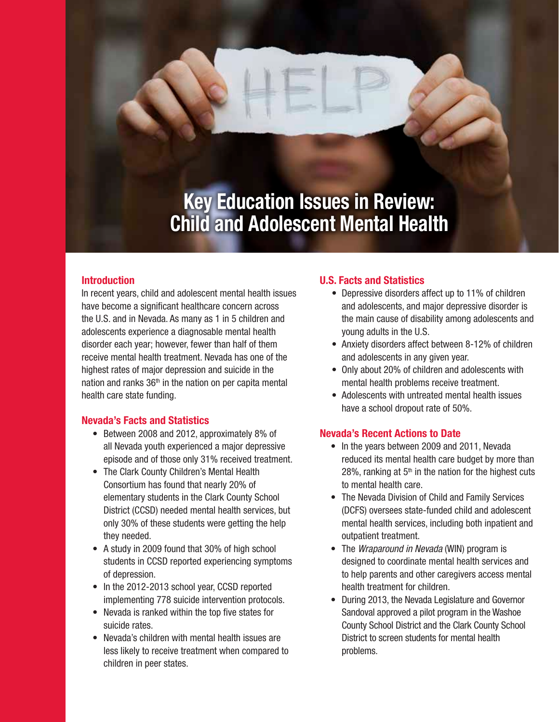# **Key Education Issues in Review: Child and Adolescent Mental Health**

#### **Introduction**

In recent years, child and adolescent mental health issues have become a significant healthcare concern across the U.S. and in Nevada. As many as 1 in 5 children and adolescents experience a diagnosable mental health disorder each year; however, fewer than half of them receive mental health treatment. Nevada has one of the highest rates of major depression and suicide in the nation and ranks  $36<sup>th</sup>$  in the nation on per capita mental health care state funding.

#### **Nevada's Facts and Statistics**

- Between 2008 and 2012, approximately 8% of all Nevada youth experienced a major depressive episode and of those only 31% received treatment.
- The Clark County Children's Mental Health Consortium has found that nearly 20% of elementary students in the Clark County School District (CCSD) needed mental health services, but only 30% of these students were getting the help they needed.
- A study in 2009 found that 30% of high school students in CCSD reported experiencing symptoms of depression.
- In the 2012-2013 school year, CCSD reported implementing 778 suicide intervention protocols.
- Nevada is ranked within the top five states for suicide rates.
- Nevada's children with mental health issues are less likely to receive treatment when compared to children in peer states.

#### **U.S. Facts and Statistics**

- Depressive disorders affect up to 11% of children and adolescents, and major depressive disorder is the main cause of disability among adolescents and young adults in the U.S.
- Anxiety disorders affect between 8-12% of children and adolescents in any given year.
- Only about 20% of children and adolescents with mental health problems receive treatment.
- Adolescents with untreated mental health issues have a school dropout rate of 50%.

#### **Nevada's Recent Actions to Date**

- In the years between 2009 and 2011, Nevada reduced its mental health care budget by more than 28%, ranking at  $5<sup>th</sup>$  in the nation for the highest cuts to mental health care.
- The Nevada Division of Child and Family Services (DCFS) oversees state-funded child and adolescent mental health services, including both inpatient and outpatient treatment.
- The *Wraparound in Nevada* (WIN) program is designed to coordinate mental health services and to help parents and other caregivers access mental health treatment for children.
- During 2013, the Nevada Legislature and Governor Sandoval approved a pilot program in the Washoe County School District and the Clark County School District to screen students for mental health problems.